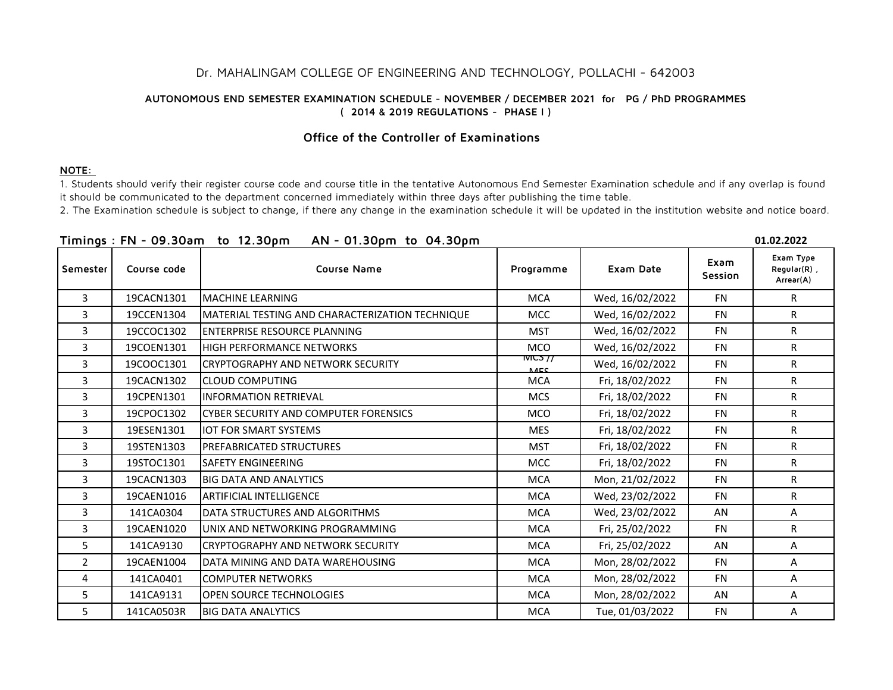## Dr. MAHALINGAM COLLEGE OF ENGINEERING AND TECHNOLOGY, POLLACHI - 642003

## **AUTONOMOUS END SEMESTER EXAMINATION SCHEDULE - NOVEMBER / DECEMBER 2021 for PG / PhD PROGRAMMES ( 2014 & 2019 REGULATIONS - PHASE I )**

## **Office of the Controller of Examinations**

## **NOTE:**

1. Students should verify their register course code and course title in the tentative Autonomous End Semester Examination schedule and if any overlap is found it should be communicated to the department concerned immediately within three days after publishing the time table.

2. The Examination schedule is subject to change, if there any change in the examination schedule it will be updated in the institution website and notice board.

|                |             | Timings: FN - 09.30am to 12.30pm<br>AN - 01.30pm to 04.30pm |                               |                 |                 | 01.02.2022                               |
|----------------|-------------|-------------------------------------------------------------|-------------------------------|-----------------|-----------------|------------------------------------------|
| Semester       | Course code | <b>Course Name</b>                                          | Programme                     | Exam Date       | Exam<br>Session | Exam Type<br>$Regular(R)$ ,<br>Arrear(A) |
| $\overline{3}$ | 19CACN1301  | <b>MACHINE LEARNING</b>                                     | <b>MCA</b>                    | Wed, 16/02/2022 | FN              | $\mathsf{R}$                             |
| 3              | 19CCEN1304  | MATERIAL TESTING AND CHARACTERIZATION TECHNIQUE             | <b>MCC</b>                    | Wed, 16/02/2022 | <b>FN</b>       | $\mathsf{R}$                             |
| 3              | 19CCOC1302  | <b>ENTERPRISE RESOURCE PLANNING</b>                         | <b>MST</b>                    | Wed, 16/02/2022 | <b>FN</b>       | R                                        |
| 3              | 19COEN1301  | <b>HIGH PERFORMANCE NETWORKS</b>                            | <b>MCO</b>                    | Wed, 16/02/2022 | <b>FN</b>       | R.                                       |
| 3              | 19COOC1301  | <b>CRYPTOGRAPHY AND NETWORK SECURITY</b>                    | <b>IVIC</b> 77<br><b>NACC</b> | Wed, 16/02/2022 | <b>FN</b>       | R.                                       |
| 3              | 19CACN1302  | <b>ICLOUD COMPUTING</b>                                     | <b>MCA</b>                    | Fri, 18/02/2022 | <b>FN</b>       | R                                        |
| 3              | 19CPEN1301  | <b>INFORMATION RETRIEVAL</b>                                | <b>MCS</b>                    | Fri, 18/02/2022 | <b>FN</b>       | $\mathsf{R}$                             |
| 3              | 19CPOC1302  | <b>CYBER SECURITY AND COMPUTER FORENSICS</b>                | <b>MCO</b>                    | Fri, 18/02/2022 | <b>FN</b>       | R                                        |
| 3              | 19ESEN1301  | <b>IOT FOR SMART SYSTEMS</b>                                | <b>MES</b>                    | Fri, 18/02/2022 | <b>FN</b>       | R                                        |
| 3              | 19STEN1303  | <b>PREFABRICATED STRUCTURES</b>                             | <b>MST</b>                    | Fri, 18/02/2022 | <b>FN</b>       | R.                                       |
| 3              | 19STOC1301  | <b>SAFETY ENGINEERING</b>                                   | <b>MCC</b>                    | Fri, 18/02/2022 | <b>FN</b>       | R                                        |
| 3              | 19CACN1303  | <b>BIG DATA AND ANALYTICS</b>                               | <b>MCA</b>                    | Mon, 21/02/2022 | <b>FN</b>       | $\mathsf{R}$                             |
| 3              | 19CAEN1016  | <b>ARTIFICIAL INTELLIGENCE</b>                              | <b>MCA</b>                    | Wed, 23/02/2022 | <b>FN</b>       | R                                        |
| 3              | 141CA0304   | DATA STRUCTURES AND ALGORITHMS                              | <b>MCA</b>                    | Wed, 23/02/2022 | AN              | A                                        |
| 3              | 19CAEN1020  | UNIX AND NETWORKING PROGRAMMING                             | <b>MCA</b>                    | Fri, 25/02/2022 | <b>FN</b>       | R.                                       |
| 5              | 141CA9130   | <b>CRYPTOGRAPHY AND NETWORK SECURITY</b>                    | <b>MCA</b>                    | Fri, 25/02/2022 | AN              | A                                        |
| $\overline{2}$ | 19CAEN1004  | DATA MINING AND DATA WAREHOUSING                            | <b>MCA</b>                    | Mon, 28/02/2022 | <b>FN</b>       | A                                        |
| 4              | 141CA0401   | <b>COMPUTER NETWORKS</b>                                    | <b>MCA</b>                    | Mon, 28/02/2022 | <b>FN</b>       | A                                        |
| 5              | 141CA9131   | <b>OPEN SOURCE TECHNOLOGIES</b>                             | <b>MCA</b>                    | Mon, 28/02/2022 | AN.             | A                                        |
| 5              | 141CA0503R  | <b>BIG DATA ANALYTICS</b>                                   | <b>MCA</b>                    | Tue, 01/03/2022 | <b>FN</b>       | A                                        |